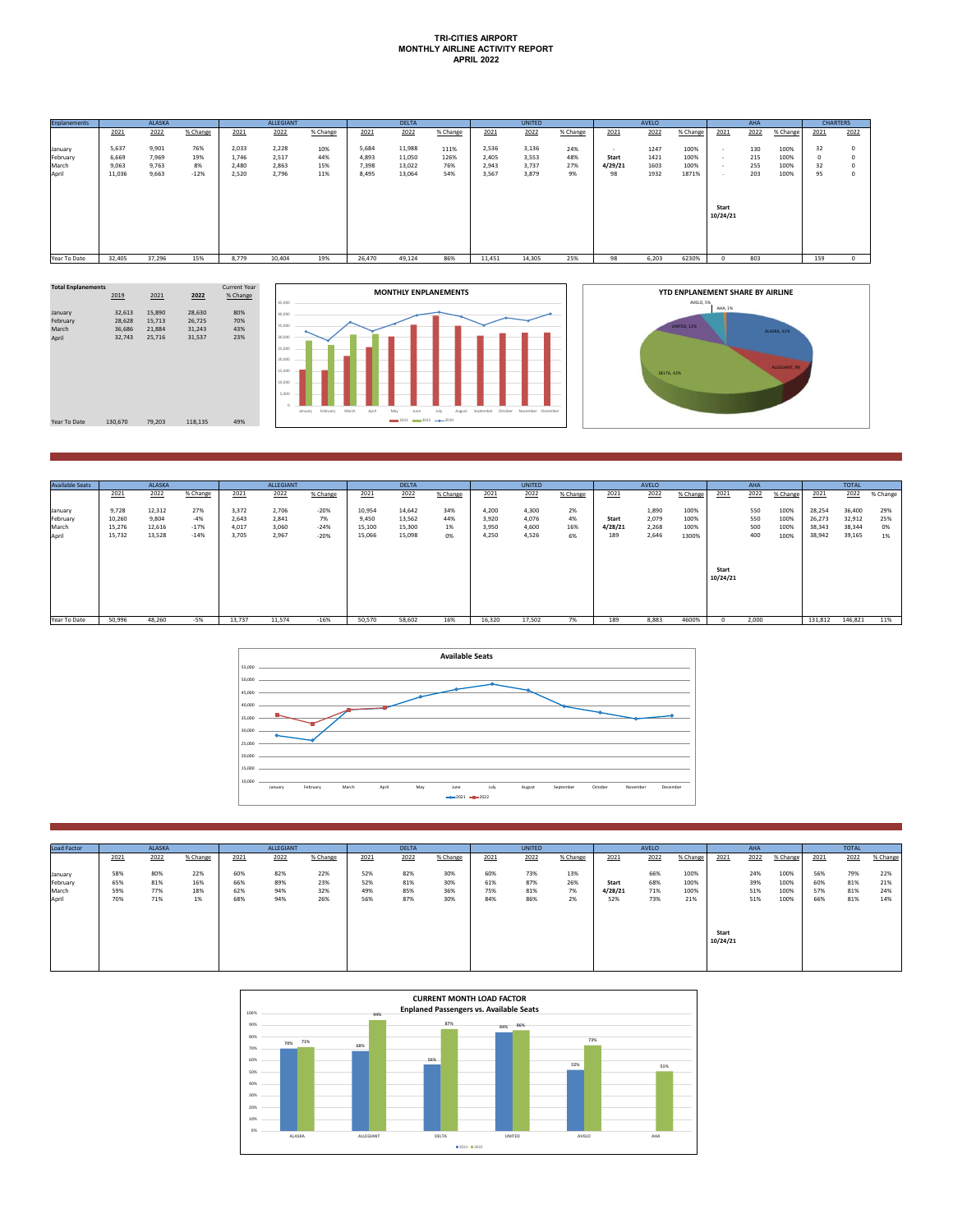## **TRI-CITIES AIRPORT MONTHLY AIRLINE ACTIVITY REPORT APRIL 2022**

| <b>Enplanements</b> |                | <b>ALASKA</b>  |            |                | <b>ALLEGIANT</b> |            |                | <b>DELTA</b>     |              |                | <b>UNITED</b>  |            |              | AVELO        |              |          | <b>AHA</b> |              | <b>CHARTERS</b> |              |
|---------------------|----------------|----------------|------------|----------------|------------------|------------|----------------|------------------|--------------|----------------|----------------|------------|--------------|--------------|--------------|----------|------------|--------------|-----------------|--------------|
|                     | 2021           | 2022           | % Change   | 2021           | 2022             | % Change   | 2021           | 2022             | % Change     | 2021           | 2022           | % Change   | 2021         | 2022         | % Change     | 2021     | 2022       | % Change     | 2021            | 2022         |
| January<br>February | 5,637<br>6,669 | 9,901<br>7,969 | 76%<br>19% | 2,033<br>1.746 | 2,228<br>2,517   | 10%<br>44% | 5,684<br>4,893 | 11,988<br>11,050 | 111%<br>126% | 2,536<br>2.405 | 3,136<br>3,553 | 24%<br>48% | . .<br>Start | 1247<br>1421 | 100%<br>100% | . .      | 130<br>215 | 100%<br>100% | 32<br>$\circ$   | $\circ$<br>0 |
| March               | 9,063          | 9,763          | 8%         | 2.480          | 2,863            | 15%        | 7,398          | 13,022           | 76%          | 2,943          | 3,737          | 27%<br>9%  | 4/29/21      | 1603         | 100%         | - 1      | 255        | 100%         | 32              | $\Omega$     |
| April               | 11,036         | 9,663          | $-12%$     | 2,520          | 2,796            | 11%        | 8,495          | 13,064           | 54%          | 3,567          | 3,879          |            | 98           | 1932         | 1871%        | . .      | 203        | 100%         | 95              | $\circ$      |
|                     |                |                |            |                |                  |            |                |                  |              |                |                |            |              |              |              |          |            |              |                 |              |
|                     |                |                |            |                |                  |            |                |                  |              |                |                |            |              |              |              | Start    |            |              |                 |              |
|                     |                |                |            |                |                  |            |                |                  |              |                |                |            |              |              |              | 10/24/21 |            |              |                 |              |
|                     |                |                |            |                |                  |            |                |                  |              |                |                |            |              |              |              |          |            |              |                 |              |
|                     |                |                |            |                |                  |            |                |                  |              |                |                |            |              |              |              |          |            |              |                 |              |
| Year To Date        | 32,405         | 37,296         | 15%        | 8.779          | 10,404           | 19%        | 26,470         | 49,124           | 86%          | 11,451         | 14,305         | 25%        | 98           | 6,203        | 6230%        | -0       | 803        |              | 159             | $^{\circ}$   |





| <b>Available Seats</b>       |                           | <b>ALASKA</b>             |                        |                         | <b>ALLEGIANT</b>        |                        |                           | <b>DELTA</b>               |                  |                         | <b>UNITED</b>           |                 |                  | AVELO                   |                      |          | AHA               |                      |                            | <b>TOTAL</b>               |                  |
|------------------------------|---------------------------|---------------------------|------------------------|-------------------------|-------------------------|------------------------|---------------------------|----------------------------|------------------|-------------------------|-------------------------|-----------------|------------------|-------------------------|----------------------|----------|-------------------|----------------------|----------------------------|----------------------------|------------------|
|                              | 2021                      | 2022                      | % Change               | 2021                    | 2022                    | % Change               | 2021                      | 2022                       | % Change         | 2021                    | 2022                    | % Change        | 2021             | 2022                    | % Change             | 2021     | 2022              | % Change             | 2021                       | 2022                       | % Change         |
| January<br>February<br>March | 9.728<br>10,260<br>15,276 | 12,312<br>9.804<br>12,616 | 27%<br>$-4%$<br>$-17%$ | 3,372<br>2.643<br>4.017 | 2.706<br>2.841<br>3.060 | $-20%$<br>7%<br>$-24%$ | 10,954<br>9.450<br>15,100 | 14,642<br>13,562<br>15,300 | 34%<br>44%<br>1% | 4,200<br>3.920<br>3,950 | 4,300<br>4,076<br>4,600 | 2%<br>4%<br>16% | Start<br>4/28/21 | 1,890<br>2,079<br>2,268 | 100%<br>100%<br>100% |          | 550<br>550<br>500 | 100%<br>100%<br>100% | 28,254<br>26,273<br>38,343 | 36,400<br>32,912<br>38,344 | 29%<br>25%<br>0% |
| April                        | 15.732                    | 13,528                    | $-14%$                 | 3.705                   | 2,967                   | $-20%$                 | 15,066                    | 15,098                     | 0%               | 4.250                   | 4,526                   | 6%              | 189              | 2.646                   | 1300%                | Start    | 400               | 100%                 | 38,942                     | 39,165                     | 1%               |
|                              |                           |                           |                        |                         |                         |                        |                           |                            |                  |                         |                         |                 |                  |                         |                      | 10/24/21 |                   |                      |                            |                            |                  |
| Year To Date                 | 50,996                    | 48,260                    | $-5%$                  | 13,737                  | 11,574                  | $-16%$                 | 50,570                    | 58,602                     | 16%              | 16,320                  | 17,502                  | 7%              | 189              | 8,883                   | 4600%                |          | 2,000             |                      | 131,812                    | 146,821                    | 11%              |



| Load Factor | <b>ALASKA</b> |      | <b>ALLEGIANT</b> |      |      | <b>DELTA</b> |      |      | <b>UNITED</b> |      |      | AVELO    |         |      | AHA      |                   |      | <b>TOTAL</b> |      |      |          |
|-------------|---------------|------|------------------|------|------|--------------|------|------|---------------|------|------|----------|---------|------|----------|-------------------|------|--------------|------|------|----------|
|             | 2021          | 2022 | % Change         | 2021 | 2022 | % Change     | 2021 | 2022 | % Change      | 2021 | 2022 | % Change | 2021    | 2022 | % Change | 2021              | 2022 | % Change     | 2021 | 2022 | % Change |
| January     | 58%           | 80%  | 22%              | 60%  | 82%  | 22%          | 52%  | 82%  | 30%           | 60%  | 73%  | 13%      |         | 66%  | 100%     |                   | 24%  | 100%         | 56%  | 79%  | 22%      |
| February    | 65%           | 81%  | 16%              | 66%  | 89%  | 23%          | 52%  | 81%  | 30%           | 61%  | 87%  | 26%      | Start   | 68%  | 100%     |                   | 39%  | 100%         | 60%  | 81%  | 21%      |
| March       | 59%           | 77%  | 18%              | 62%  | 94%  | 32%          | 49%  | 85%  | 36%           | 75%  | 81%  | 7%       | 4/28/21 | 71%  | 100%     |                   | 51%  | 100%         | 57%  | 81%  | 24%      |
| April       | 70%           | 71%  | 1%               | 68%  | 94%  | 26%          | 56%  | 87%  | 30%           | 84%  | 86%  | 2%       | 52%     | 73%  | 21%      |                   | 51%  | 100%         | 66%  | 81%  | 14%      |
|             |               |      |                  |      |      |              |      |      |               |      |      |          |         |      |          | Start<br>10/24/21 |      |              |      |      |          |